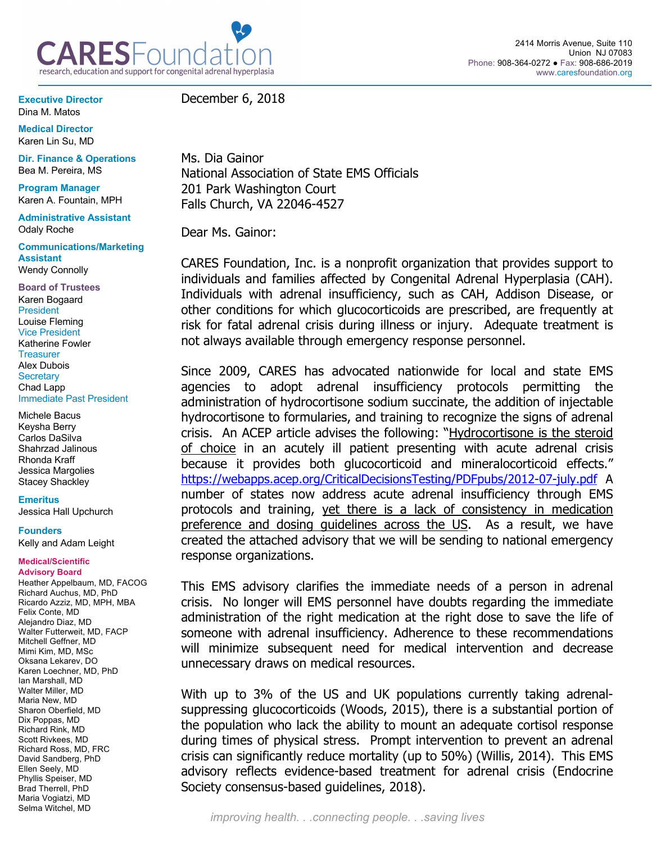

**Executive Director** Dina M. Matos

**Medical Director** Karen Lin Su, MD

**Dir. Finance & Operations** Bea M. Pereira, MS

**Program Manager**  Karen A. Fountain, MPH

**Administrative Assistant** Odaly Roche

**Communications/Marketing Assistant** Wendy Connolly

**Board of Trustees** Karen Bogaard President Louise Fleming Vice President Katherine Fowler **Treasurer** Alex Dubois **Secretary** Chad Lapp Immediate Past President

Michele Bacus Keysha Berry Carlos DaSilva Shahrzad Jalinous Rhonda Kraff Jessica Margolies Stacey Shackley

**Emeritus**

Jessica Hall Upchurch

**Founders**

Kelly and Adam Leight

## **Medical/Scientific Advisory Board**

Heather Appelbaum, MD, FACOG Richard Auchus, MD, PhD Ricardo Azziz, MD, MPH, MBA Felix Conte, MD Alejandro Diaz, MD Walter Futterweit, MD, FACP Mitchell Geffner, MD Mimi Kim, MD, MSc Oksana Lekarev, DO Karen Loechner, MD, PhD Ian Marshall, MD Walter Miller, MD Maria New, MD Sharon Oberfield, MD Dix Poppas, MD Richard Rink, MD Scott Rivkees, MD Richard Ross, MD, FRC David Sandberg, PhD Ellen Seely, MD Phyllis Speiser, MD Brad Therrell, PhD Maria Vogiatzi, MD Selma Witchel, MD

December 6, 2018

Ms. Dia Gainor National Association of State EMS Officials 201 Park Washington Court Falls Church, VA 22046-4527

Dear Ms. Gainor:

CARES Foundation, Inc. is a nonprofit organization that provides support to individuals and families affected by Congenital Adrenal Hyperplasia (CAH). Individuals with adrenal insufficiency, such as CAH, Addison Disease, or other conditions for which glucocorticoids are prescribed, are frequently at risk for fatal adrenal crisis during illness or injury. Adequate treatment is not always available through emergency response personnel.

Since 2009, CARES has advocated nationwide for local and state EMS agencies to adopt adrenal insufficiency protocols permitting the administration of hydrocortisone sodium succinate, the addition of injectable hydrocortisone to formularies, and training to recognize the signs of adrenal crisis. An ACEP article advises the following: "Hydrocortisone is the steroid of choice in an acutely ill patient presenting with acute adrenal crisis because it provides both glucocorticoid and mineralocorticoid effects." https://webapps.acep.org/CriticalDecisionsTesting/PDFpubs/2012-07-july.pdf A number of states now address acute adrenal insufficiency through EMS protocols and training, yet there is a lack of consistency in medication preference and dosing guidelines across the US. As a result, we have created the attached advisory that we will be sending to national emergency response organizations.

This EMS advisory clarifies the immediate needs of a person in adrenal crisis. No longer will EMS personnel have doubts regarding the immediate administration of the right medication at the right dose to save the life of someone with adrenal insufficiency. Adherence to these recommendations will minimize subsequent need for medical intervention and decrease unnecessary draws on medical resources.

With up to 3% of the US and UK populations currently taking adrenalsuppressing glucocorticoids (Woods, 2015), there is a substantial portion of the population who lack the ability to mount an adequate cortisol response during times of physical stress. Prompt intervention to prevent an adrenal crisis can significantly reduce mortality (up to 50%) (Willis, 2014). This EMS advisory reflects evidence-based treatment for adrenal crisis (Endocrine Society consensus-based guidelines, 2018).